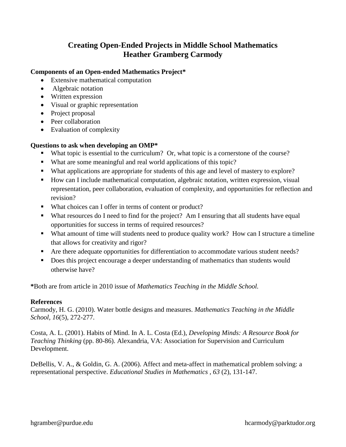## **Creating Open-Ended Projects in Middle School Mathematics Heather Gramberg Carmody**

## **Components of an Open-ended Mathematics Project\***

- Extensive mathematical computation
- Algebraic notation
- Written expression
- Visual or graphic representation
- Project proposal
- Peer collaboration
- Evaluation of complexity

## **Questions to ask when developing an OMP\***

- What topic is essential to the curriculum? Or, what topic is a cornerstone of the course?
- What are some meaningful and real world applications of this topic?
- What applications are appropriate for students of this age and level of mastery to explore?
- How can I include mathematical computation, algebraic notation, written expression, visual representation, peer collaboration, evaluation of complexity, and opportunities for reflection and revision?
- What choices can I offer in terms of content or product?
- What resources do I need to find for the project? Am I ensuring that all students have equal opportunities for success in terms of required resources?
- What amount of time will students need to produce quality work? How can I structure a timeline that allows for creativity and rigor?
- Are there adequate opportunities for differentiation to accommodate various student needs?
- Does this project encourage a deeper understanding of mathematics than students would otherwise have?

**\***Both are from article in 2010 issue of *Mathematics Teaching in the Middle School.*

## **References**

Carmody, H. G. (2010). Water bottle designs and measures. *Mathematics Teaching in the Middle School, 16*(5), 272-277.

Costa, A. L. (2001). Habits of Mind. In A. L. Costa (Ed.), *Developing Minds: A Resource Book for Teaching Thinking* (pp. 80-86). Alexandria, VA: Association for Supervision and Curriculum Development.

DeBellis, V. A., & Goldin, G. A. (2006). Affect and meta-affect in mathematical problem solving: a representational perspective. *Educational Studies in Mathematics , 63* (2), 131-147.